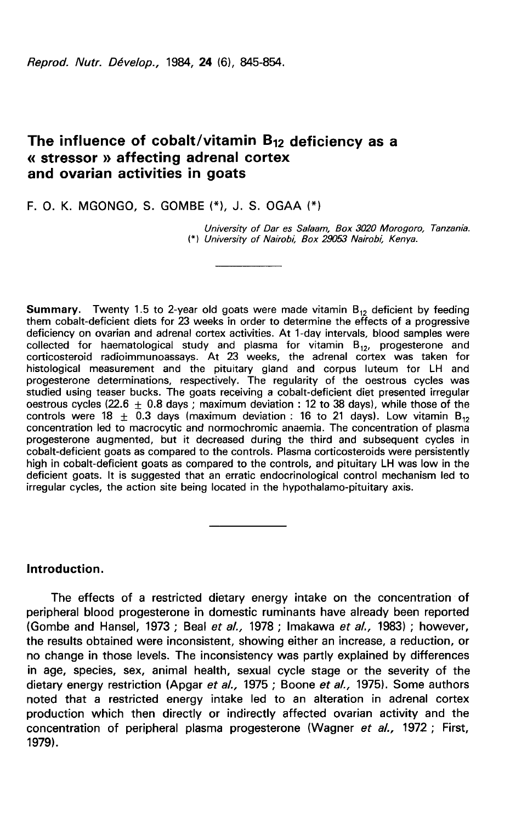Reprod. Nutr. Dévelop., 1984. 24 (6), 845-854.

# The influence of cobalt/vitamin  $B_{12}$  deficiency as a « stressor » affecting adrenal cortex and ovarian activities in goats

### F. O. K. MGONGO. S. GOMBE  $(*)$ . J. S. OGAA  $(*)$

University of Dar es Salaam, Box 3020 Morogoro, Tanzania. (\*) University of Nairobi, Box 29053 Nairobi, Kenya.

**Summary.** Twenty 1.5 to 2-year old goats were made vitamin  $B_{12}$  deficient by feeding them cobalt-deficient diets for 23 weeks in order to determine the effects of a progressive deficiency on ovarian and adrenal cortex activities. At 1-day intervals, blood samples were collected for haematological study and plasma for vitamin  $\mathsf{B}_{12}$ , progesterone and corticosteroid radioimmunoassays. At 23 weeks, the adrenal cortex was taken for histological measurement and the pituitary gland and corpus luteum for LH and progesterone determinations, respectively. The regularity of the oestrous cycles was studied using teaser bucks. The goats receiving a cobalt-deficient diet presented irregular oestrous cycles (22.6  $\pm$  0.8 days ; maximum deviation : 12 to 38 days), while those of the controls were 18  $\pm$  0.3 days (maximum deviation : 16 to 21 days). Low vitamin B<sub>12</sub> concentration led to macrocytic and normochromic anaemia. The concentration of plasma progesterone augmented, but it decreased during the third and subsequent cycles in cobalt-deficient goats as compared to the controls. Plasma corticosteroids were persistently high in cobalt-deficient goats as compared to the controls, and pituitary LH was low in the deficient goats. It is suggested that an erratic endocrinological control mechanism led to irregular cycles, the action site being located in the hypothalamo-pituitary axis.

# Introduction.

The effects of a restricted dietary energy intake on the concentration of peripheral blood progesterone in domestic ruminants have already been reported (Gombe and Hansel, 1973 ; Beal et al., 1978 ; lmakawa et al., 1983) ; however, the results obtained were inconsistent, showing either an increase, a reduction, or no change in those levels. The inconsistency was partly explained by differences in age, species, sex, animal health, sexual cycle stage or the severity of the dietary energy restriction (Apgar et al., 1975; Boone et al., 1975). Some authors noted that a restricted energy intake led to an alteration in adrenal cortex production which then directly or indirectly affected ovarian activity and the concentration of peripheral plasma progesterone (Wagner et al., 1972; First, 1979).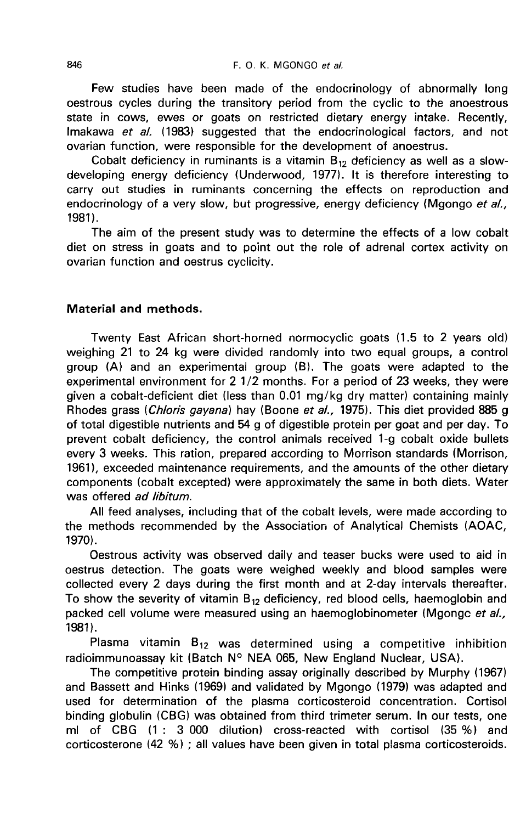Few studies have been made of the endocrinology of abnormally long oestrous cycles during the transitory period from the cyclic to the anoestrous state in cows, ewes or goats on restricted dietary energy intake. Recently, Imakawa et al. (1983) suggested that the endocrinological factors, and not ovarian function, were responsible for the development of anoestrus.

Cobalt deficiency in ruminants is a vitamin  $B_{12}$  deficiency as well as a slowdeveloping energy deficiency (Underwood, 1977). It is therefore interesting to carry out studies in ruminants concerning the effects on reproduction and endocrinology of a very slow, but progressive, energy deficiency (Mgongo et al., 1981).

The aim of the present study was to determine the effects of a low cobalt diet on stress in goats and to point out the role of adrenal cortex activity on ovarian function and oestrus cyclicity.

# Material and methods.

Twenty East African short-horned normocyclic goats (1.5 to 2 years old) weighing 21 to 24 kg were divided randomly into two equal groups, a control group (A) and an experimental group (B). The goats were adapted to the experimental environment for 2 1/2 months. For a period of 23 weeks, they were given a cobalt-deficient diet (less than 0.01 mg/kg dry matter) containing mainly Rhodes grass (Chloris gayana) hay (Boone et al., 1975). This diet provided 885 g of total digestible nutrients and 54 g of digestible protein per goat and per day. To prevent cobalt deficiency, the control animals received 1-g cobalt oxide bullets every 3 weeks. This ration, prepared according to Morrison standards (Morrison, 1961), exceeded maintenance requirements, and the amounts of the other dietary components (cobalt excepted) were approximately the same in both diets. Water was offered ad libitum.

All feed analyses, including that of the cobalt levels, were made according to the methods recommended by the Association of Analytical Chemists (AOAC, 1970).

Oestrous activity was observed daily and teaser bucks were used to aid in oestrus detection. The goats were weighed weekly and blood samples were collected every 2 days during the first month and at 2-day intervals thereafter. To show the severity of vitamin  $B_{12}$  deficiency, red blood cells, haemoglobin and packed cell volume were measured using an haemoglobinometer (Mgongc et al.,  $1981$ .

Plasma vitamin  $B_{12}$  was determined using a competitive inhibition radioimmunoassay kit (Batch N° NEA 065, New England Nuclear, USA).

The competitive protein binding assay originally described by Murphy (1967) and Bassett and Hinks (1969) and validated by Mgongo (1979) was adapted and used for determination of the plasma corticosteroid concentration. Cortisol binding globulin (CBG) was obtained from third trimeter serum. In our tests, one ml of CBG (1 : 3 000 dilution) cross-reacted with cortisol (35 %) and corticosterone (42 %) ; all values have been given in total plasma corticosteroids.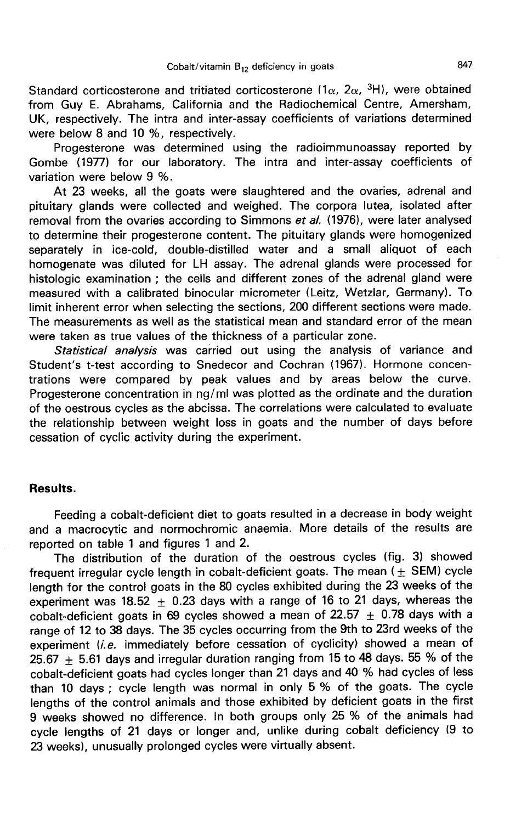Standard corticosterone and tritiated corticosterone (1 $\alpha$ , 2 $\alpha$ , <sup>3</sup>H), were obtained<br>Standard corticosterone and tritiated corticosterone (1 $\alpha$ , 2 $\alpha$ , <sup>3</sup>H), were obtained from Guy E. Abrahams, California and the Radiochemical Centre, Amersham, UK, respectively. The intra and inter-assay coefficients of variations determined were below 8 and 10 %, respectively.

Progesterone was determined using the radioimmunoassay reported by Gombe (1977) for our laboratory. The intra and inter-assay coefficients of variation were below 9 %.

At 23 weeks, all the goats were slaughtered and the ovaries, adrenal and pituitary glands were collected and weighed. The corpora lutea, isolated after removal from the ovaries according to Simmons et al. (1976), were later analysed to determine their progesterone content. The pituitary glands were homogenized separately in ice-cold, double-distilled water and a small aliquot of each homogenate was diluted for LH assay. The adrenal glands were processed for histologic examination ; the cells and different zones of the adrenal gland were measured with a calibrated binocular micrometer (Leitz, Wetzlar, Germany). To limit inherent error when selecting the sections, 200 different sections were made. The measurements as well as the statistical mean and standard error of the mean were taken as true values of the thickness of a particular zone.

Statistical analysis was carried out using the analysis of variance and Student's t-test according to Snedecor and Cochran (1967). Hormone concentrations were compared by peak values and by areas below the curve. Progesterone concentration in ng/ml was plotted as the ordinate and the duration of the oestrous cycles as the abcissa. The correlations were calculated to evaluate the relationship between weight loss in goats and the number of days before cessation of cyclic activity during the experiment.

#### Results.

Feeding a cobalt-deficient diet to goats resulted in a decrease in body weight and a macrocytic and normochromic anaemia. More details of the results are reported on table 1 and figures 1 and 2.

The distribution of the duration of the oestrous cycles (fig. 3) showed frequent irregular cycle length in cobalt-deficient goats. The mean ( $\pm$  SEM) cycle length for the control goats in the 80 cycles exhibited during the 23 weeks of the experiment was 18.52  $\pm$  0.23 days with a range of 16 to 21 days, whereas the cobalt-deficient goats in 69 cycles showed a mean of 22.57  $\pm$  0.78 days with a range of 12 to 38 days. The 35 cycles occurring from the 9th to 23rd weeks of the experiment (i.e. immediately before cessation of cyclicity) showed a mean of 25.67  $\pm$  5.61 days and irregular duration ranging from 15 to 48 days. 55 % of the cobalt-deficient goats had cycles longer than 21 days and 40 % had cycles of less than 10 days ; cycle length was normal in only 5 % of the goats. The cycle lengths of the control animals and those exhibited by deficient goats in the first 9 weeks showed no difference. In both groups only 25 % of the animals had cycle lengths of 21 days or longer and, unlike during cobalt deficiency (9 to 23 weeks), unusually prolonged cycles were virtually absent.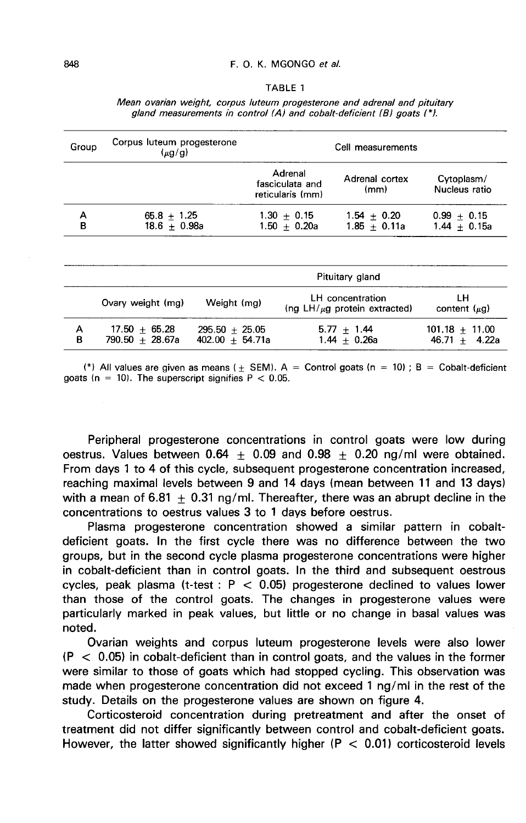#### TABLE 1

Mean ovarian weight, corpus luteum progesterone and adrenal and pituitary aland measurements in control (A) and cobalt-deficient (B) goats (\*).

| Group  | Corpus luteum progesterone<br>$(\mu g/g)$ |             | Cell measurements                     |                                                       |                                     |                                     |  |
|--------|-------------------------------------------|-------------|---------------------------------------|-------------------------------------------------------|-------------------------------------|-------------------------------------|--|
|        |                                           |             |                                       | Adrenal<br>fasciculata and<br>reticularis (mm)        | Adrenal cortex<br>(mm)              | Cytoplasm/<br>Nucleus ratio         |  |
| А<br>в | $65.8 + 1.25$<br>18.6 $\pm$ 0.98a         |             |                                       | $1.30 + 0.15$<br>$1.50 + 0.20a$                       | $1.54 \pm 0.20$<br>$1.85 \pm 0.11a$ | $0.99 + 0.15$<br>$1.44 + 0.15a$     |  |
|        |                                           |             |                                       |                                                       |                                     |                                     |  |
|        |                                           |             | Pituitary gland                       |                                                       |                                     |                                     |  |
|        | Ovary weight (mg)                         | Weight (mg) |                                       | LH concentration<br>(ng $LH/\mu g$ protein extracted) |                                     | LН<br>content $(\mu q)$             |  |
| A<br>в | $17.50 + 65.28$<br>$790.50 + 28.67a$      |             | $295.50 + 25.05$<br>$402.00 + 54.71a$ |                                                       | $5.77 + 1.44$<br>$1.44 + 0.26a$     | $101.18 + 11.00$<br>$46.71 + 4.22a$ |  |

(\*) All values are given as means ( $\pm$  SEM). A = Control goats (n = 10) ; B = Cobalt-deficient goats (n = 10). The superscript signifies  $P < 0.05$ .

Peripheral progesterone concentrations in control goats were low during oestrus. Values between  $0.64 + 0.09$  and  $0.98 + 0.20$  ng/ml were obtained. From days 1 to 4 of this cycle, subsequent progesterone concentration increased, reaching maximal levels between 9 and 14 days (mean between 11 and 13 days) with a mean of 6.81  $+$  0.31 ng/ml. Thereafter, there was an abrupt decline in the concentrations to oestrus values 3 to 1 days before oestrus.

Plasma progesterone concentration showed a similar pattern in cobaltdeficient goats. In the first cycle there was no difference between the two groups, but in the second cycle plasma progesterone concentrations were higher in cobalt-deficient than in control goats. In the third and subsequent oestrous cycles, peak plasma (t-test :  $P < 0.05$ ) progesterone declined to values lower than those of the control goats. The changes in progesterone values were particularly marked in peak values, but little or no change in basal values was noted.

Ovarian weights and corpus luteum progesterone levels were also lower  $(P < 0.05)$  in cobalt-deficient than in control goats, and the values in the former were similar to those of goats which had stopped cycling. This observation was made when progesterone concentration did not exceed 1 ng/ml in the rest of the study. Details on the progesterone values are shown on figure 4.

Corticosteroid concentration during pretreatment and after the onset of treatment did not differ significantly between control and cobalt-deficient goats. However, the latter showed significantly higher ( $P < 0.01$ ) corticosteroid levels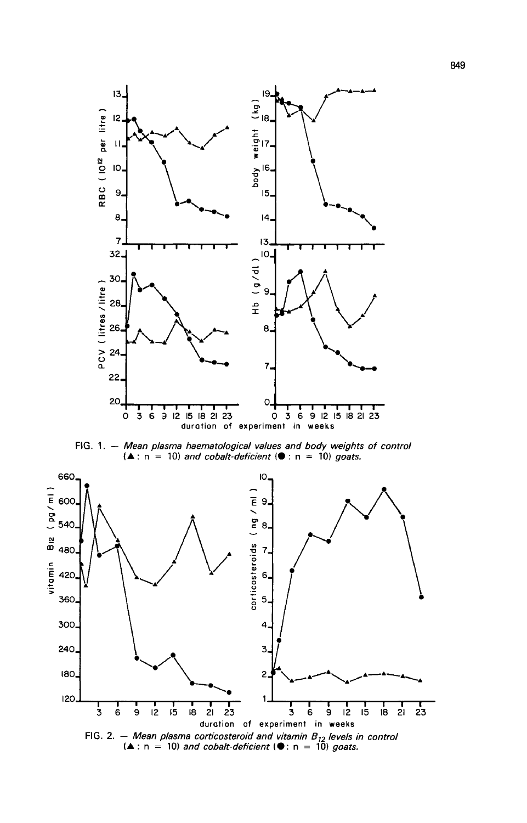

FIG. 1. - Mean plasma haematological values and body weights of control  $(A : n = 10)$  and cobalt-deficient ( $\bullet$  : n = 10) goats.

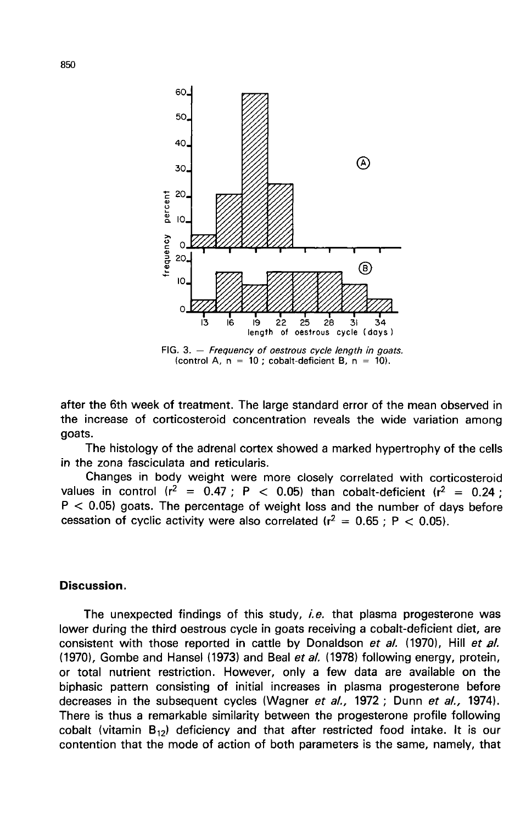

FIG. 3.  $-$  Frequency of oestrous cycle length in goats. (control A,  $n = 10$ ; cobalt-deficient B,  $n = 10$ ).

after the 6th week of treatment. The large standard error of the mean observed in the increase of corticosteroid concentration reveals the wide variation among goats.

The histology of the adrenal cortex showed a marked hypertrophy of the cells in the zona fasciculata and reticularis.

Changes in body weight were more closely correlated with corticosteroid values in control ( $r^2 = 0.47$ ; P < 0.05) than cobalt-deficient ( $r^2 = 0.24$ ;  $P < 0.05$ ) goats. The percentage of weight loss and the number of days before cessation of cyclic activity were also correlated  $(r^2 = 0.65 : P < 0.05)$ .

#### Discussion.

The unexpected findings of this study, *i.e.* that plasma progesterone was lower during the third oestrous cycle in goats receiving a cobalt-deficient diet, are consistent with those reported in cattle by Donaldson et al. (1970), Hill et al. (1970), Gombe and Hansel (1973) and Beal et al. (1978) following energy, protein, or total nutrient restriction. However, only a few data are available on the biphasic pattern consisting of initial increases in plasma progesterone before decreases in the subsequent cycles (Wagner et al., 1972; Dunn et al., 1974). There is thus a remarkable similarity between the progesterone profile following cobalt (vitamin  $B_{12}$ ) deficiency and that after restricted food intake. It is our contention that the mode of action of both parameters is the same, namely, that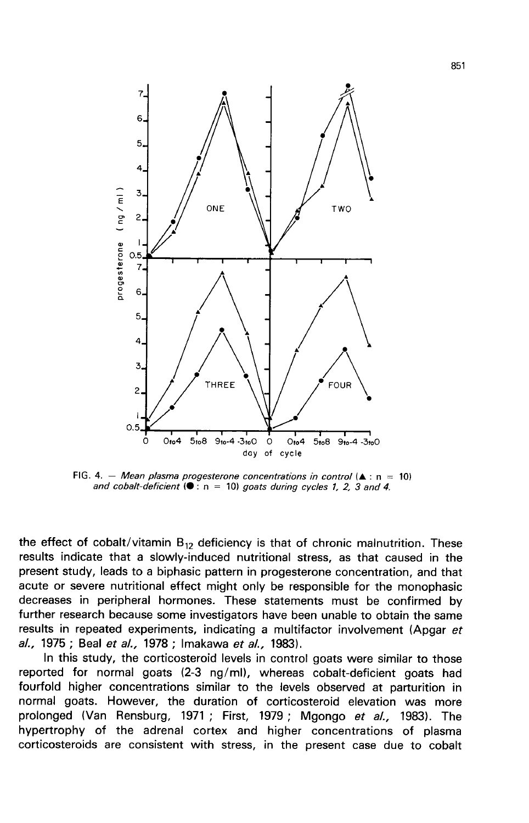

FIG. 4. - Mean plasma progesterone concentrations in control  $(A : n = 10)$ and cobalt-deficient  $(①: n = 10)$  goats during cycles 1, 2, 3 and 4.

the effect of cobalt/vitamin  $B_{12}$  deficiency is that of chronic malnutrition. These results indicate that a slowly-induced nutritional stress, as that caused in the present study, leads to a biphasic pattern in progesterone concentration, and that acute or severe nutritional effect might only be responsible for the monophasic decreases in peripheral hormones. These statements must be confirmed by further research because some investigators have been unable to obtain the same results in repeated experiments, indicating a multifactor involvement (Apgar et al., 1975 ; Beal et al., 1978 ; Imakawa et al., 1983).

In this study, the corticosteroid levels in control goats were similar to those reported for normal goats (2-3 ng/ml), whereas cobalt-deficient goats had fourfold higher concentrations similar to the levels observed at parturition in normal goats. However, the duration of corticosteroid elevation was more prolonged (Van Rensburg, 1971 ; First, 1979 ; Mgongo et al., 1983). The hypertrophy of the adrenal cortex and higher concentrations of plasma corticosteroids are consistent with stress, in the present case due to cobalt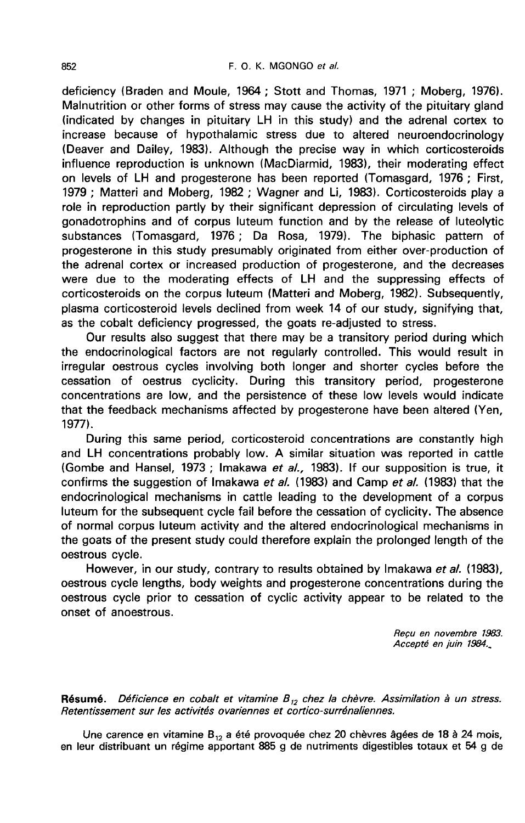deficiency (Braden and Moule, 1964 ; Stott and Thomas, 1971 ; Moberg, 1976). Malnutrition or other forms of stress may cause the activity of the pituitary gland (indicated by changes in pituitary LH in this study) and the adrenal cortex to increase because of hypothalamic stress due to altered neuroendocrinology (Deaver and Dailey, 1983). Although the precise way in which corticosteroids influence reproduction is unknown (MacDiarmid, 1983), their moderating effect on levels of LH and progesterone has been reported (Tomasgard, 1976 ; First, 1979 ; Matteri and Moberg, 1982 ; Wagner and Li, 1983). Corticosteroids play a role in reproduction partly by their significant depression of circulating levels of gonadotrophins and of corpus luteum function and by the release of luteolytic substances (Tomasgard, 1976 ; Da Rosa, 1979). The biphasic pattern of progesterone in this study presumably originated from either over-production of the adrenal cortex or increased production of progesterone, and the decreases were due to the moderating effects of LH and the suppressing effects of corticosteroids on the corpus luteum (Matteri and Moberg, 1982). Subsequently, plasma corticosteroid levels declined from week 14 of our study, signifying that, as the cobalt deficiency progressed, the goats re-adjusted to stress.

Our results also suggest that there may be a transitory period during which the endocrinological factors are not regularly controlled. This would result in irregular oestrous cycles involving both longer and shorter cycles before the cessation of oestrus cyclicity. During this transitory period, progesterone concentrations are low, and the persistence of these low levels would indicate that the feedback mechanisms affected by progesterone have been altered (Yen, 1977).

During this same period, corticosteroid concentrations are constantly high and LH concentrations probably low. A similar situation was reported in cattle (Gombe and Hansel, 1973; Imakawa et al., 1983). If our supposition is true, it confirms the suggestion of Imakawa et al. (1983) and Camp et al. (1983) that the endocrinological mechanisms in cattle leading to the development of a corpus luteum for the subsequent cycle fail before the cessation of cyclicity. The absence of normal corpus luteum activity and the altered endocrinological mechanisms in the goats of the present study could therefore explain the prolonged length of the oestrous cycle.

However, in our study, contrary to results obtained by Imakawa et al. (1983), oestrous cycle lengths, body weights and progesterone concentrations during the oestrous cycle prior to cessation of cyclic activity appear to be related to the onset of anoestrous.

> Recu en novembre 1983. Accepté en juin 1984.

Résumé. Déficience en cobalt et vitamine  $B_{12}$  chez la chèvre. Assimilation à un stress. Retentissement sur les activités ovariennes et cortico-surrénaliennes.

Une carence en vitamine B<sub>12</sub> a été provoquée chez 20 chèvres âgées de 18 à 24 mois, en leur distribuant un régime apportant 885 g de nutriments digestibles totaux et 54 g de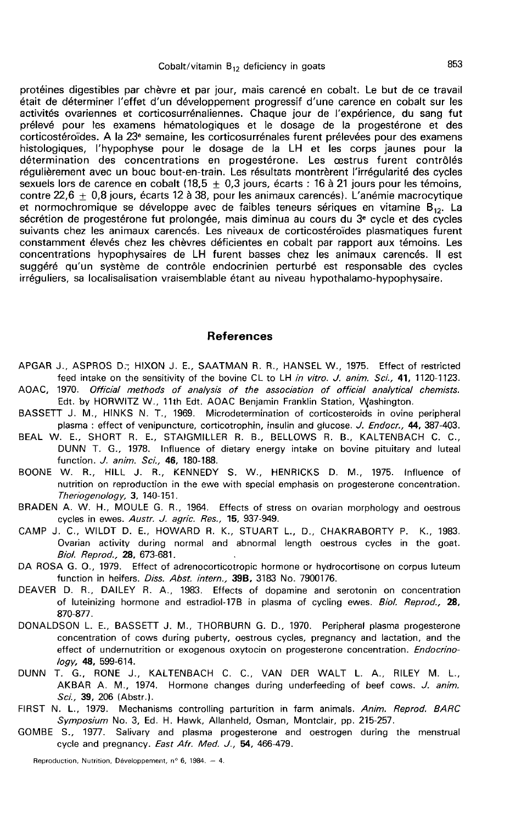protéines digestibles par chèvre et par jour, mais carencé en cobalt. Le but de ce travail était de déterminer l'effet d'un développement progressif d'une carence en cobalt sur les activités ovariennes et corticosurrénaliennes. Chaque jour de l'expérience, du sang fut prélevé pour les examens hématologiques et le dosage de la progestérone et des corticostéroïdes. A la 23e semaine, les corticosurrénales furent prélevées pour des examens histologiques, l'hypophyse pour le dosage de la LH et les corps jaunes pour la détermination des concentrations en progestérone. Les oestrus furent contrôlés régulièrement avec un bouc bout-en-train. Les résultats montrèrent l'irrégularité des cycles sexuels lors de carence en cobalt (18,5  $\pm$  0,3 jours, écarts : 16 à 21 jours pour les témoins, contre 22,6  $\pm$  0,8 jours, écarts 12 à 38, pour les animaux carencés). L'anémie macrocytique et normochromique se développe avec de faibles teneurs sériques en vitamine  $B_{12}$ . La sécrétion de progestérone fut prolongée, mais diminua au cours du 3<sup>e</sup> cycle et des cycles suivants chez les animaux carencés. Les niveaux de corticostéroïdes plasmatiques furent constamment élevés chez les chèvres déficientes en cobalt par rapport aux témoins. Les concentrations hypophysaires de LH furent basses chez les animaux carencés. Il est suggéré qu'un système de contrôle endocrinien perturbé est responsable des cycles irréguliers, sa localisalisation vraisemblable étant au niveau hypothalamo-hypophysaire.

#### References

- APGAR J., ASPROS D:, HIXON J. E., SAATMAN R. R., HANSEL W., 1975. Effect of restricted feed intake on the sensitivity of the bovine CL to LH in vitro. J. anim. Sci., 41, 1120-1123. AOAC, 1970. Official methods of analysis of the association of official analytical chemists.
- Edt. by HORWITZ W., 11th Edt. AOAC Benjamin Franklin Station, Washington. BASSETT J. M., HINKS N. T., 1969. Microdetermination of corticosteroids in ovine peripheral
- plasma : effect of venipuncture, corticotrophin, insulin and glucose. J. Endocr., 44, 387-403. BEAL W. E., SHORT R. E., STAIGMILLER R. B., BELLOWS R. B., KALTENBACH C. C., DUNN T. G., 1978. Influence of dietary energy intake on bovine pituitary and luteal

function. J. anim. Sci., 46, 180-188.

- BOONE W. R., HILL J. R., KENNEDY S. W., HENRICKS D. M., 1975. Influence of nutrition on reproduction in the ewe with special emphasis on progesterone concentration. Theriogenology, 3, 140-151.
- BRADEN A. W. H., MOULE G. R., 1964. Effects of stress on ovarian morphology and oestrous cycles in ewes. Austr. J. agric. Res., 15, 937-949.
- cycles in ewes. *Austr. J. agric. Hes.*, 15, 337-343.<br>CAMP J. C., WILDT D. E., HOWARD R. K., STUART L., D., CHAKRABORTY P. K., 1983.<br>Biol. Reprod., 28, 673-681.<br>DA ROSA G. O. 1979. Effect of adrenocorticorpic bormone or by Ovarian activity during normal and abnormal length oestrous cycles in the goat.<br>Biol. Reprod., 28, 673-681.
- DA ROSA G. 0., 1979. Effect of adrenocorticotropic hormone or hydrocortisone on corpus luteum function in heifers. Diss. Abst. intern., 39B, 3183 No. 7900176.
- DEAVER D. R., DAILEY R. A., 1983. Effects of dopamine and serotonin on concentration of luteinizing hormone and estradiol-17B in plasma of cycling ewes. Biol. Reprod., 28, 870-877.
- DONALDSON L. E., BASSETT J. M., THORBURN G. D., 1970. Peripheral plasma progesterone concentration of cows during puberty, oestrous cycles, pregnancy and lactation, and the effect of undernutrition or exogenous oxytocin on progesterone concentration. Endocrinology, 48, 599-614.
- DUNN T. G., RONE J., KALTENBACH C. C., VAN DER WALT L. A., RILEY M. L., AKBAR A. M., 1974. Hormone changes during underfeeding of beef cows. J. anim. Sci., 39, 206 (Abstr.).
- FIRST N. L., 1979. Mechanisms controlling parturition in farm animals. Anim. Reprod. BARC Symposium No. 3, Ed. H. Hawk, Allanheld, Osman, Montclair, pp. 215-257.
- GOMBE S., 1977. Salivary and plasma progesterone and oestrogen during the menstrual cycle and pregnancy. East Afr. Med. J., 54, 466-479.

Reproduction, Nutrition, Développement, nº 6, 1984. - 4.